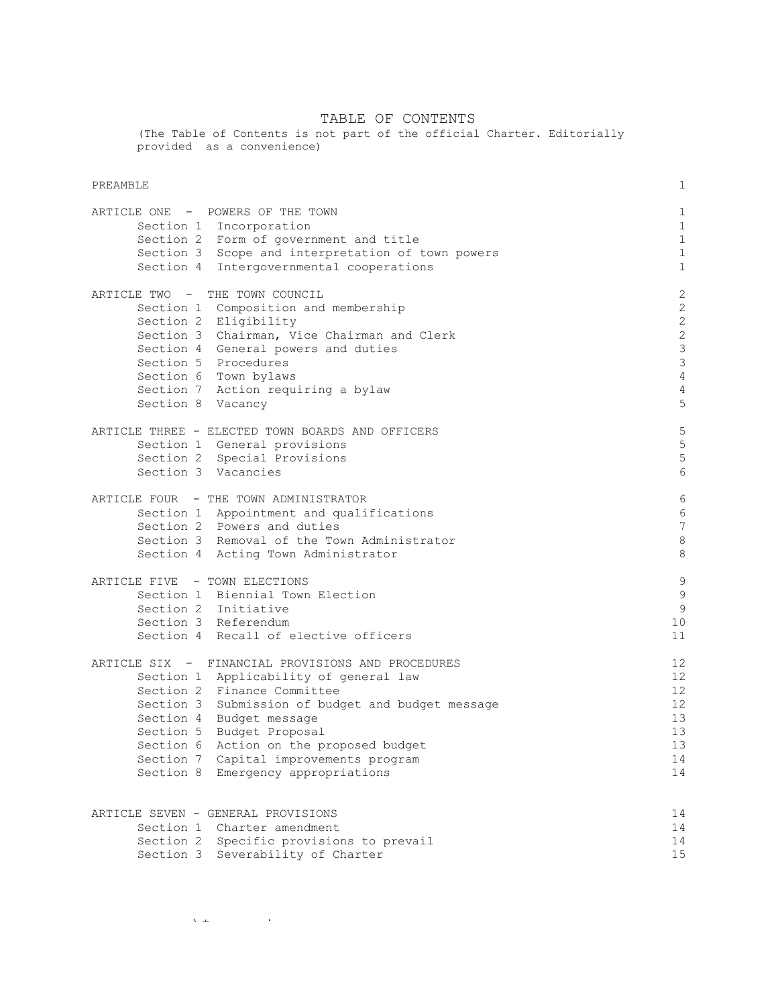#### TABLE OF CONTENTS

(The Table of Contents is not part of the official Charter. Editorially provided as a convenience)

#### PREAMBLE 2012 12:00 PREAMBLE 2012 12:00 PREAMBLE 2012 12:00 PREAMBLE 2012 12:00 PREAMBLE

| ARTICLE ONE - POWERS OF THE TOWN                                        | $\mathbf{1}$   |
|-------------------------------------------------------------------------|----------------|
| Section 1 Incorporation                                                 | $\mathbf{1}$   |
| Section 2 Form of government and title                                  | $\mathbf{1}$   |
| Section 3 Scope and interpretation of town powers                       | $\mathbf{1}$   |
| Section 4 Intergovernmental cooperations                                | $\mathbf{1}$   |
| ARTICLE TWO - THE TOWN COUNCIL                                          | $\mathbf{2}$   |
| Section 1 Composition and membership                                    | $\overline{c}$ |
| Section 2 Eligibility                                                   | $\overline{c}$ |
| Section 3 Chairman, Vice Chairman and Clerk                             | $\overline{c}$ |
| Section 4 General powers and duties                                     | 3              |
| Section 5 Procedures                                                    | 3              |
| Section 6 Town bylaws                                                   | $\overline{4}$ |
| Section 7 Action requiring a bylaw                                      | $\overline{4}$ |
| Section 8 Vacancy                                                       | 5              |
| ARTICLE THREE - ELECTED TOWN BOARDS AND OFFICERS                        | 5              |
| Section 1 General provisions                                            | 5              |
| Section 2 Special Provisions                                            | 5              |
| Section 3 Vacancies                                                     | 6              |
| ARTICLE FOUR - THE TOWN ADMINISTRATOR                                   | 6              |
| Section 1 Appointment and qualifications                                | 6              |
| Section 2 Powers and duties                                             | 7              |
| Section 3 Removal of the Town Administrator                             | 8              |
| Section 4 Acting Town Administrator                                     | 8              |
| ARTICLE FIVE - TOWN ELECTIONS                                           | 9              |
| Section 1 Biennial Town Election                                        | 9              |
| Section 2 Initiative                                                    | 9              |
| Section 3 Referendum                                                    | 10             |
| Section 4 Recall of elective officers                                   | 11             |
| ARTICLE SIX - FINANCIAL PROVISIONS AND PROCEDURES                       | 12             |
| Section 1 Applicability of general law                                  | 12             |
| Section 2 Finance Committee                                             | 12             |
| Section 3 Submission of budget and budget message                       | 12             |
| Section 4 Budget message                                                | 13             |
| Section 5 Budget Proposal                                               | 13             |
| Section 6 Action on the proposed budget                                 | 13             |
| Section 7 Capital improvements program                                  | 14             |
| Section 8 Emergency appropriations                                      | 14             |
|                                                                         |                |
| ARTICLE SEVEN - GENERAL PROVISIONS                                      | 14<br>14       |
| Section 1 Charter amendment<br>Section 2 Specific provisions to prevail | 14             |
| Section 3 Severability of Charter                                       | 15             |
|                                                                         |                |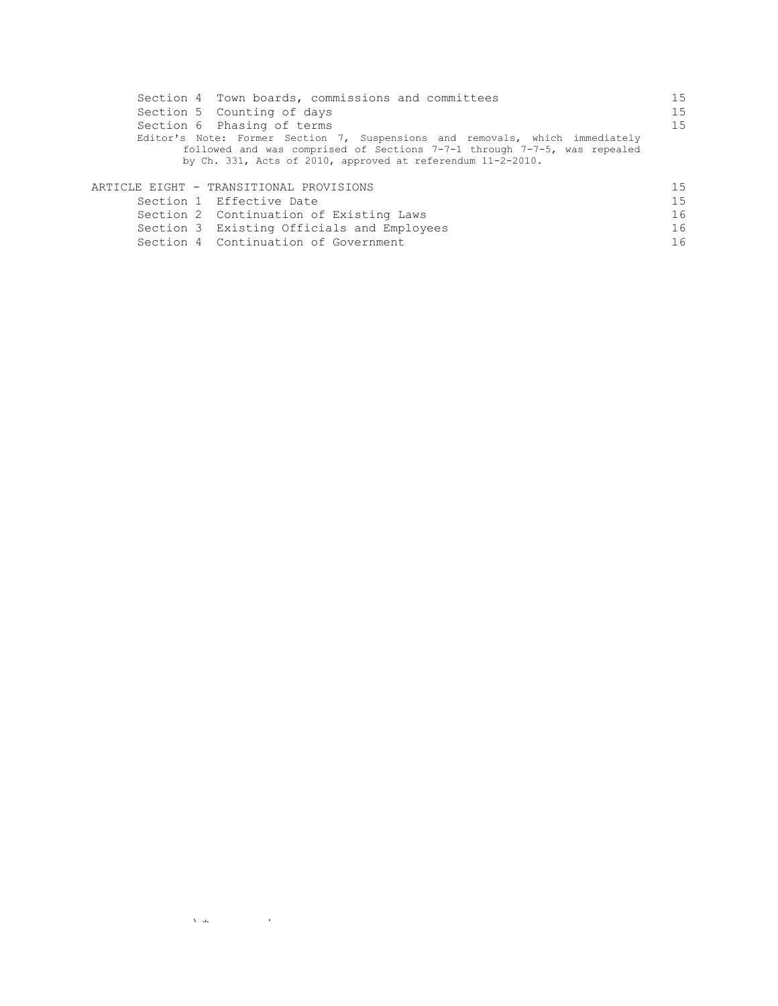| Section 4 Town boards, commissions and committees                            | 15 |
|------------------------------------------------------------------------------|----|
| Section 5 Counting of days                                                   | 15 |
| Section 6 Phasing of terms                                                   | 15 |
| Editor's Note: Former Section 7, Suspensions and removals, which immediately |    |
| followed and was comprised of Sections 7-7-1 through 7-7-5, was repealed     |    |
| by Ch. 331, Acts of 2010, approved at referendum $11-2-2010$ .               |    |
|                                                                              |    |
| ARTICLE EIGHT - TRANSITIONAL PROVISIONS                                      | 15 |
| Section 1 Effective Date                                                     | 15 |
| Section 2 Continuation of Existing Laws                                      | 16 |
| Section 3 Existing Officials and Employees                                   | 16 |
| Section 4 Continuation of Government                                         | 16 |

 $\label{eq:1} \Delta_{\rm{max}} = \frac{1}{2} \left( \frac{1}{2} \sum_{i=1}^{n} \frac{1}{2} \sum_{j=1}^{n} \frac{1}{2} \sum_{j=1}^{n} \frac{1}{2} \sum_{j=1}^{n} \frac{1}{2} \sum_{j=1}^{n} \frac{1}{2} \sum_{j=1}^{n} \frac{1}{2} \sum_{j=1}^{n} \frac{1}{2} \sum_{j=1}^{n} \frac{1}{2} \sum_{j=1}^{n} \frac{1}{2} \sum_{j=1}^{n} \frac{1}{2} \sum_{j=1}^{n} \frac{1}{2}$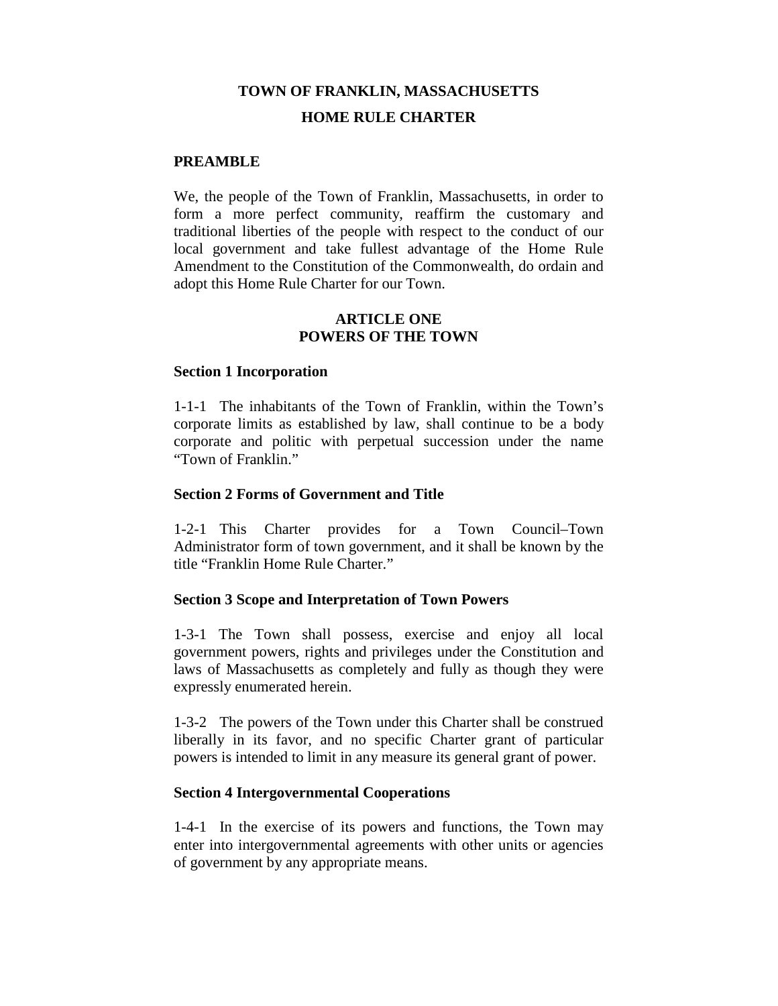# **TOWN OF FRANKLIN, MASSACHUSETTS HOME RULE CHARTER**

#### **PREAMBLE**

We, the people of the Town of Franklin, Massachusetts, in order to form a more perfect community, reaffirm the customary and traditional liberties of the people with respect to the conduct of our local government and take fullest advantage of the Home Rule Amendment to the Constitution of the Commonwealth, do ordain and adopt this Home Rule Charter for our Town.

#### **ARTICLE ONE POWERS OF THE TOWN**

#### **Section 1 Incorporation**

1-1-1 The inhabitants of the Town of Franklin, within the Town's corporate limits as established by law, shall continue to be a body corporate and politic with perpetual succession under the name "Town of Franklin."

#### **Section 2 Forms of Government and Title**

1-2-1 This Charter provides for a Town Council–Town Administrator form of town government, and it shall be known by the title "Franklin Home Rule Charter."

### **Section 3 Scope and Interpretation of Town Powers**

1-3-1 The Town shall possess, exercise and enjoy all local government powers, rights and privileges under the Constitution and laws of Massachusetts as completely and fully as though they were expressly enumerated herein.

1-3-2 The powers of the Town under this Charter shall be construed liberally in its favor, and no specific Charter grant of particular powers is intended to limit in any measure its general grant of power.

### **Section 4 Intergovernmental Cooperations**

1-4-1 In the exercise of its powers and functions, the Town may enter into intergovernmental agreements with other units or agencies of government by any appropriate means.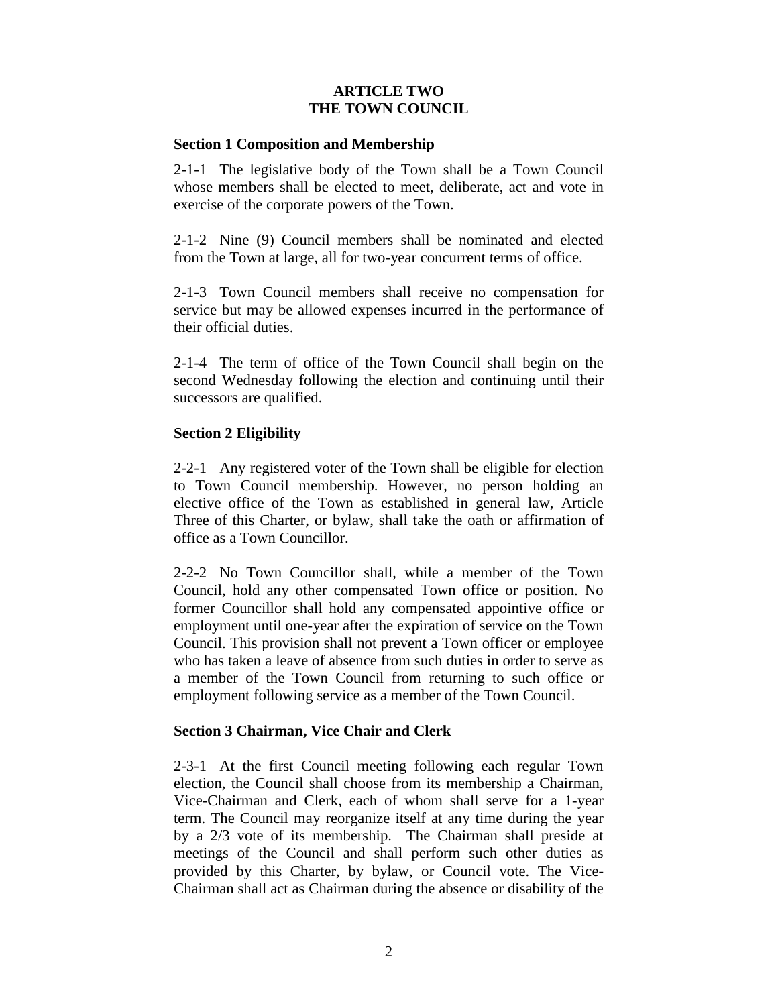# **ARTICLE TWO THE TOWN COUNCIL**

#### **Section 1 Composition and Membership**

2-1-1 The legislative body of the Town shall be a Town Council whose members shall be elected to meet, deliberate, act and vote in exercise of the corporate powers of the Town.

2-1-2 Nine (9) Council members shall be nominated and elected from the Town at large, all for two-year concurrent terms of office.

2-1-3 Town Council members shall receive no compensation for service but may be allowed expenses incurred in the performance of their official duties.

2-1-4 The term of office of the Town Council shall begin on the second Wednesday following the election and continuing until their successors are qualified.

# **Section 2 Eligibility**

2-2-1 Any registered voter of the Town shall be eligible for election to Town Council membership. However, no person holding an elective office of the Town as established in general law, Article Three of this Charter, or bylaw, shall take the oath or affirmation of office as a Town Councillor.

2-2-2 No Town Councillor shall, while a member of the Town Council, hold any other compensated Town office or position. No former Councillor shall hold any compensated appointive office or employment until one-year after the expiration of service on the Town Council. This provision shall not prevent a Town officer or employee who has taken a leave of absence from such duties in order to serve as a member of the Town Council from returning to such office or employment following service as a member of the Town Council.

### **Section 3 Chairman, Vice Chair and Clerk**

2-3-1 At the first Council meeting following each regular Town election, the Council shall choose from its membership a Chairman, Vice-Chairman and Clerk, each of whom shall serve for a 1-year term. The Council may reorganize itself at any time during the year by a 2/3 vote of its membership. The Chairman shall preside at meetings of the Council and shall perform such other duties as provided by this Charter, by bylaw, or Council vote. The Vice-Chairman shall act as Chairman during the absence or disability of the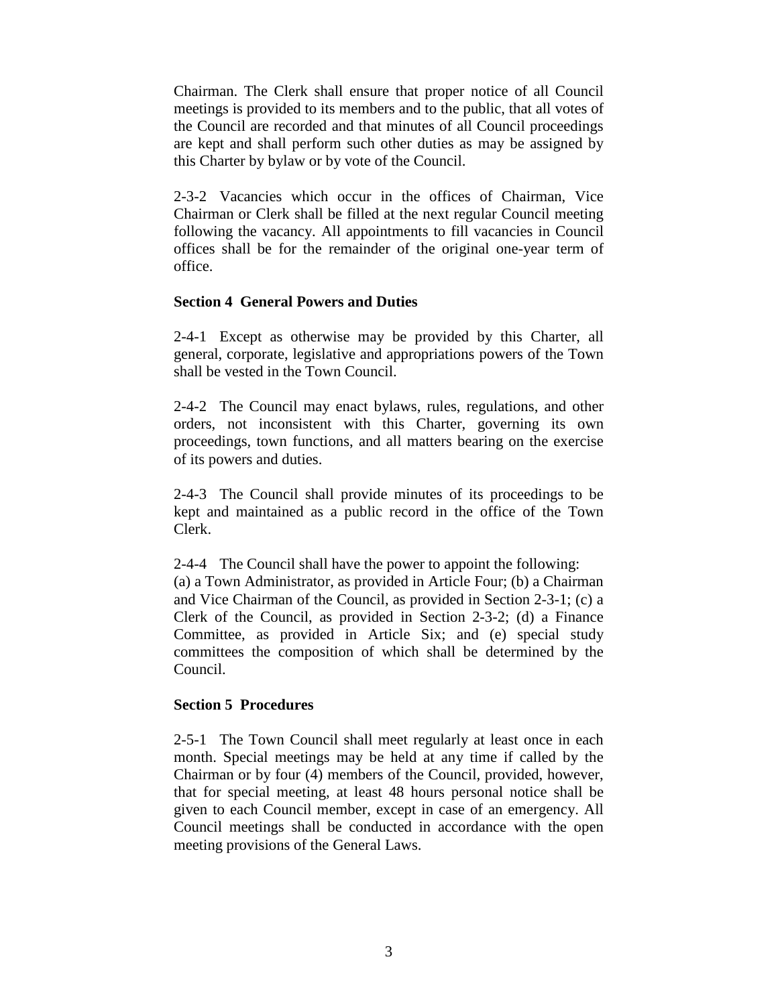Chairman. The Clerk shall ensure that proper notice of all Council meetings is provided to its members and to the public, that all votes of the Council are recorded and that minutes of all Council proceedings are kept and shall perform such other duties as may be assigned by this Charter by bylaw or by vote of the Council.

2-3-2 Vacancies which occur in the offices of Chairman, Vice Chairman or Clerk shall be filled at the next regular Council meeting following the vacancy. All appointments to fill vacancies in Council offices shall be for the remainder of the original one-year term of office.

#### **Section 4 General Powers and Duties**

2-4-1 Except as otherwise may be provided by this Charter, all general, corporate, legislative and appropriations powers of the Town shall be vested in the Town Council.

2-4-2 The Council may enact bylaws, rules, regulations, and other orders, not inconsistent with this Charter, governing its own proceedings, town functions, and all matters bearing on the exercise of its powers and duties.

2-4-3 The Council shall provide minutes of its proceedings to be kept and maintained as a public record in the office of the Town Clerk.

2-4-4 The Council shall have the power to appoint the following: (a) a Town Administrator, as provided in Article Four; (b) a Chairman and Vice Chairman of the Council, as provided in Section 2-3-1; (c) a Clerk of the Council, as provided in Section 2-3-2; (d) a Finance Committee, as provided in Article Six; and (e) special study committees the composition of which shall be determined by the Council.

### **Section 5 Procedures**

2-5-1 The Town Council shall meet regularly at least once in each month. Special meetings may be held at any time if called by the Chairman or by four (4) members of the Council, provided, however, that for special meeting, at least 48 hours personal notice shall be given to each Council member, except in case of an emergency. All Council meetings shall be conducted in accordance with the open meeting provisions of the General Laws.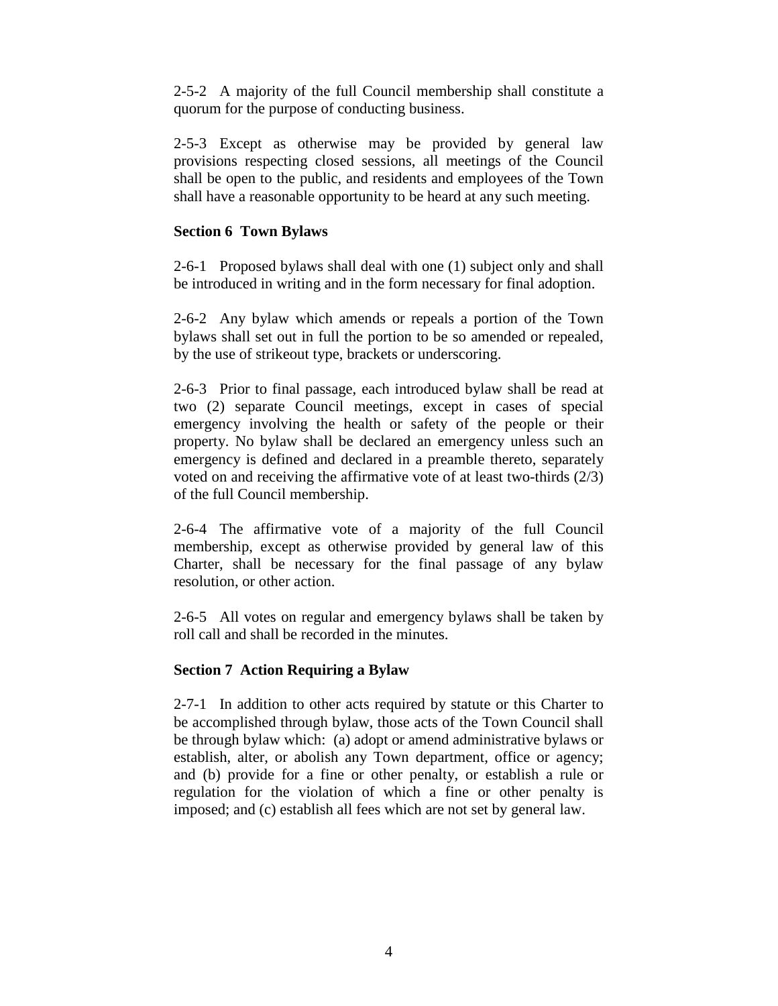2-5-2 A majority of the full Council membership shall constitute a quorum for the purpose of conducting business.

2-5-3 Except as otherwise may be provided by general law provisions respecting closed sessions, all meetings of the Council shall be open to the public, and residents and employees of the Town shall have a reasonable opportunity to be heard at any such meeting.

# **Section 6 Town Bylaws**

2-6-1 Proposed bylaws shall deal with one (1) subject only and shall be introduced in writing and in the form necessary for final adoption.

2-6-2 Any bylaw which amends or repeals a portion of the Town bylaws shall set out in full the portion to be so amended or repealed, by the use of strikeout type, brackets or underscoring.

2-6-3 Prior to final passage, each introduced bylaw shall be read at two (2) separate Council meetings, except in cases of special emergency involving the health or safety of the people or their property. No bylaw shall be declared an emergency unless such an emergency is defined and declared in a preamble thereto, separately voted on and receiving the affirmative vote of at least two-thirds (2/3) of the full Council membership.

2-6-4 The affirmative vote of a majority of the full Council membership, except as otherwise provided by general law of this Charter, shall be necessary for the final passage of any bylaw resolution, or other action.

2-6-5 All votes on regular and emergency bylaws shall be taken by roll call and shall be recorded in the minutes.

# **Section 7 Action Requiring a Bylaw**

2-7-1 In addition to other acts required by statute or this Charter to be accomplished through bylaw, those acts of the Town Council shall be through bylaw which: (a) adopt or amend administrative bylaws or establish, alter, or abolish any Town department, office or agency; and (b) provide for a fine or other penalty, or establish a rule or regulation for the violation of which a fine or other penalty is imposed; and (c) establish all fees which are not set by general law.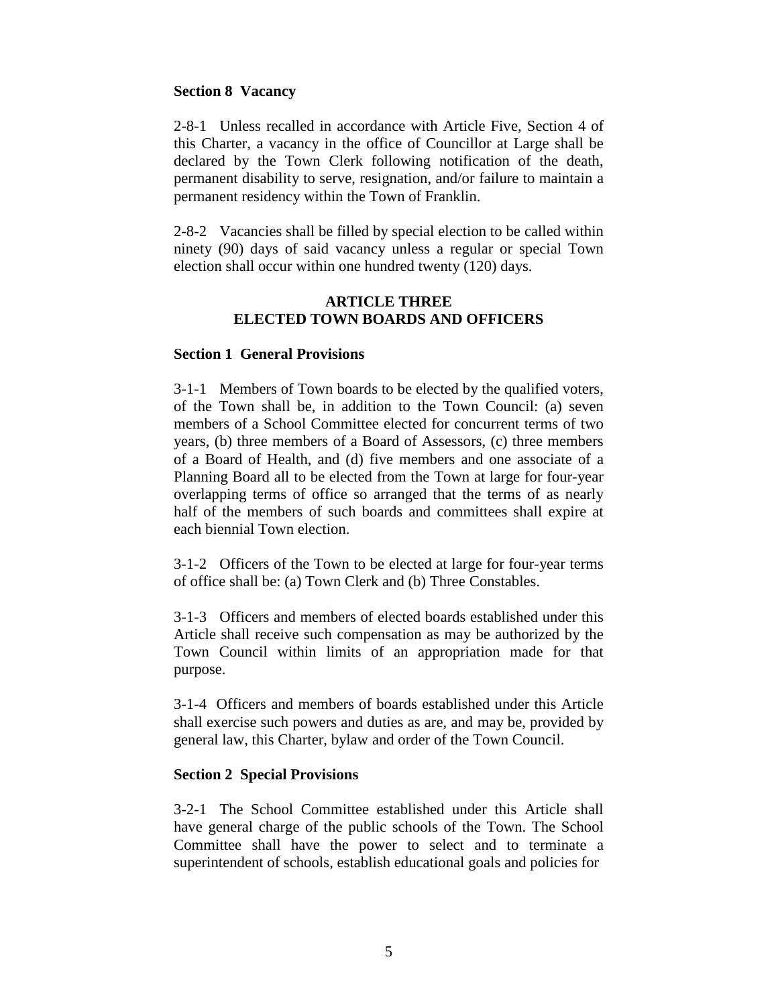### **Section 8 Vacancy**

2-8-1 Unless recalled in accordance with Article Five, Section 4 of this Charter, a vacancy in the office of Councillor at Large shall be declared by the Town Clerk following notification of the death, permanent disability to serve, resignation, and/or failure to maintain a permanent residency within the Town of Franklin.

2-8-2 Vacancies shall be filled by special election to be called within ninety (90) days of said vacancy unless a regular or special Town election shall occur within one hundred twenty (120) days.

#### **ARTICLE THREE ELECTED TOWN BOARDS AND OFFICERS**

#### **Section 1 General Provisions**

3-1-1 Members of Town boards to be elected by the qualified voters, of the Town shall be, in addition to the Town Council: (a) seven members of a School Committee elected for concurrent terms of two years, (b) three members of a Board of Assessors, (c) three members of a Board of Health, and (d) five members and one associate of a Planning Board all to be elected from the Town at large for four-year overlapping terms of office so arranged that the terms of as nearly half of the members of such boards and committees shall expire at each biennial Town election.

3-1-2 Officers of the Town to be elected at large for four-year terms of office shall be: (a) Town Clerk and (b) Three Constables.

3-1-3 Officers and members of elected boards established under this Article shall receive such compensation as may be authorized by the Town Council within limits of an appropriation made for that purpose.

3-1-4 Officers and members of boards established under this Article shall exercise such powers and duties as are, and may be, provided by general law, this Charter, bylaw and order of the Town Council.

### **Section 2 Special Provisions**

3-2-1 The School Committee established under this Article shall have general charge of the public schools of the Town. The School Committee shall have the power to select and to terminate a superintendent of schools, establish educational goals and policies for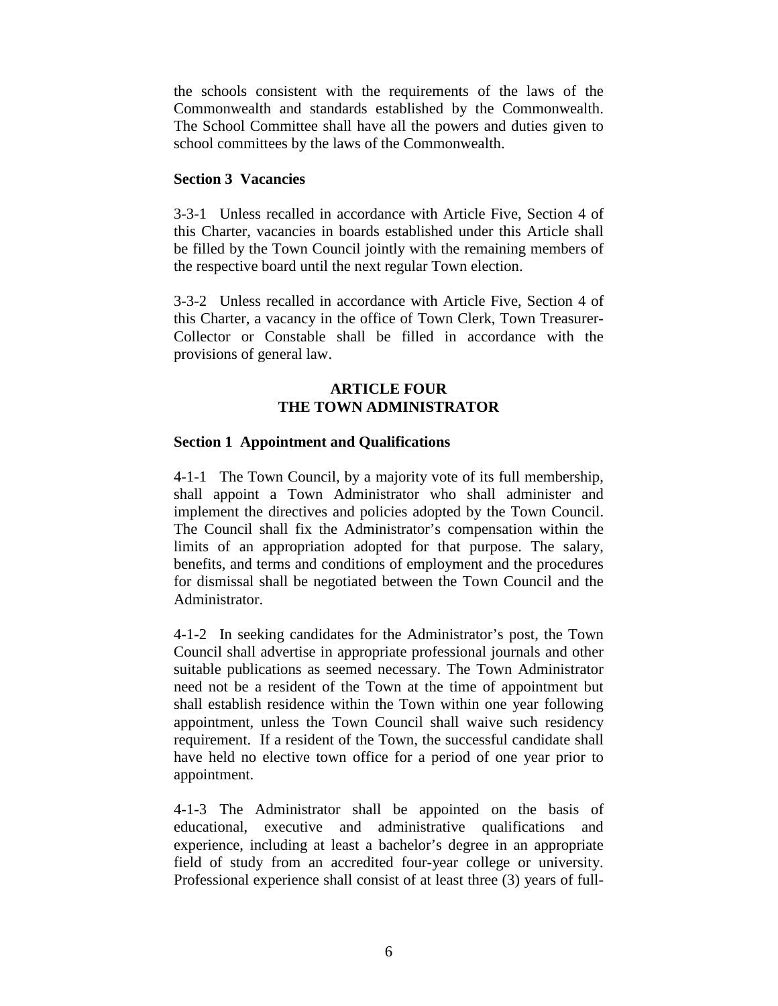the schools consistent with the requirements of the laws of the Commonwealth and standards established by the Commonwealth. The School Committee shall have all the powers and duties given to school committees by the laws of the Commonwealth.

## **Section 3 Vacancies**

3-3-1 Unless recalled in accordance with Article Five, Section 4 of this Charter, vacancies in boards established under this Article shall be filled by the Town Council jointly with the remaining members of the respective board until the next regular Town election.

3-3-2 Unless recalled in accordance with Article Five, Section 4 of this Charter, a vacancy in the office of Town Clerk, Town Treasurer-Collector or Constable shall be filled in accordance with the provisions of general law.

## **ARTICLE FOUR THE TOWN ADMINISTRATOR**

# **Section 1 Appointment and Qualifications**

4-1-1 The Town Council, by a majority vote of its full membership, shall appoint a Town Administrator who shall administer and implement the directives and policies adopted by the Town Council. The Council shall fix the Administrator's compensation within the limits of an appropriation adopted for that purpose. The salary, benefits, and terms and conditions of employment and the procedures for dismissal shall be negotiated between the Town Council and the Administrator.

4-1-2 In seeking candidates for the Administrator's post, the Town Council shall advertise in appropriate professional journals and other suitable publications as seemed necessary. The Town Administrator need not be a resident of the Town at the time of appointment but shall establish residence within the Town within one year following appointment, unless the Town Council shall waive such residency requirement. If a resident of the Town, the successful candidate shall have held no elective town office for a period of one year prior to appointment.

4-1-3 The Administrator shall be appointed on the basis of educational, executive and administrative qualifications and experience, including at least a bachelor's degree in an appropriate field of study from an accredited four-year college or university. Professional experience shall consist of at least three (3) years of full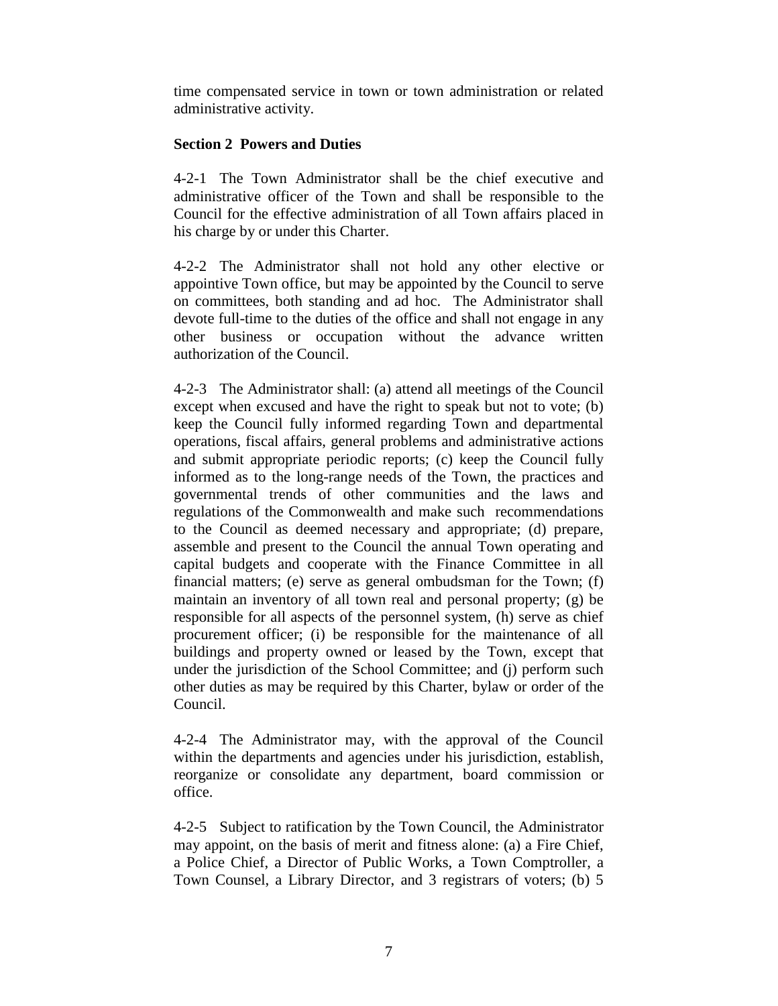time compensated service in town or town administration or related administrative activity.

# **Section 2 Powers and Duties**

4-2-1 The Town Administrator shall be the chief executive and administrative officer of the Town and shall be responsible to the Council for the effective administration of all Town affairs placed in his charge by or under this Charter.

4-2-2 The Administrator shall not hold any other elective or appointive Town office, but may be appointed by the Council to serve on committees, both standing and ad hoc. The Administrator shall devote full-time to the duties of the office and shall not engage in any other business or occupation without the advance written authorization of the Council.

4-2-3 The Administrator shall: (a) attend all meetings of the Council except when excused and have the right to speak but not to vote; (b) keep the Council fully informed regarding Town and departmental operations, fiscal affairs, general problems and administrative actions and submit appropriate periodic reports; (c) keep the Council fully informed as to the long-range needs of the Town, the practices and governmental trends of other communities and the laws and regulations of the Commonwealth and make such recommendations to the Council as deemed necessary and appropriate; (d) prepare, assemble and present to the Council the annual Town operating and capital budgets and cooperate with the Finance Committee in all financial matters; (e) serve as general ombudsman for the Town; (f) maintain an inventory of all town real and personal property; (g) be responsible for all aspects of the personnel system, (h) serve as chief procurement officer; (i) be responsible for the maintenance of all buildings and property owned or leased by the Town, except that under the jurisdiction of the School Committee; and (j) perform such other duties as may be required by this Charter, bylaw or order of the Council.

4-2-4 The Administrator may, with the approval of the Council within the departments and agencies under his jurisdiction, establish, reorganize or consolidate any department, board commission or office.

4-2-5 Subject to ratification by the Town Council, the Administrator may appoint, on the basis of merit and fitness alone: (a) a Fire Chief, a Police Chief, a Director of Public Works, a Town Comptroller, a Town Counsel, a Library Director, and 3 registrars of voters; (b) 5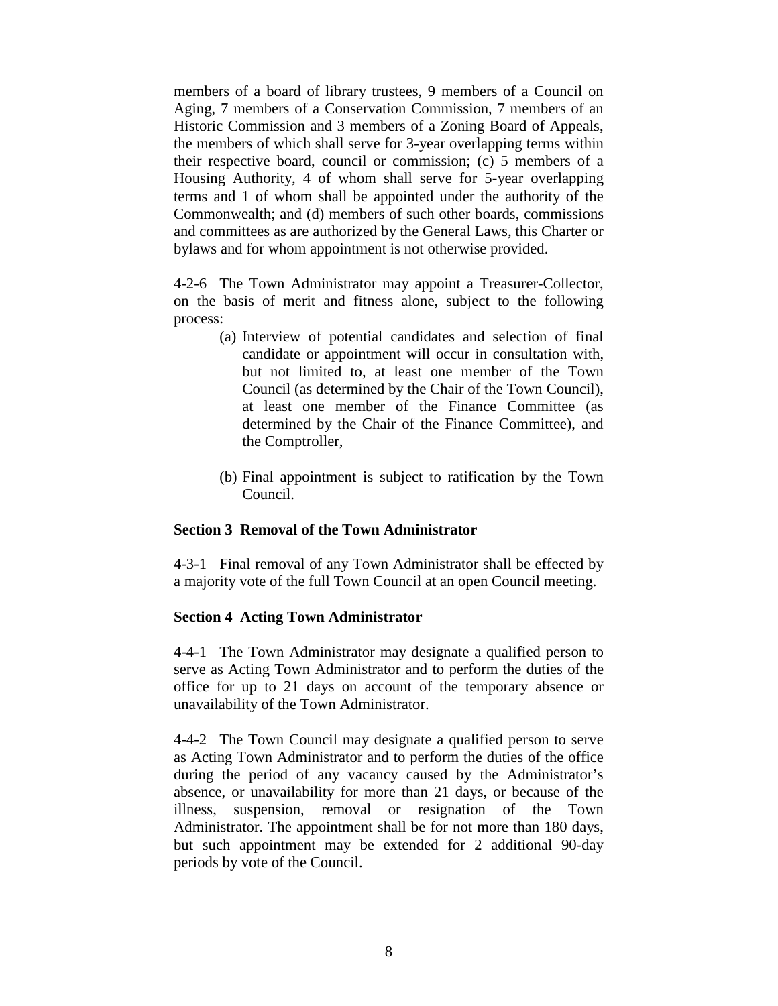members of a board of library trustees, 9 members of a Council on Aging, 7 members of a Conservation Commission, 7 members of an Historic Commission and 3 members of a Zoning Board of Appeals, the members of which shall serve for 3-year overlapping terms within their respective board, council or commission; (c) 5 members of a Housing Authority, 4 of whom shall serve for 5-year overlapping terms and 1 of whom shall be appointed under the authority of the Commonwealth; and (d) members of such other boards, commissions and committees as are authorized by the General Laws, this Charter or bylaws and for whom appointment is not otherwise provided.

4-2-6 The Town Administrator may appoint a Treasurer-Collector, on the basis of merit and fitness alone, subject to the following process:

- (a) Interview of potential candidates and selection of final candidate or appointment will occur in consultation with, but not limited to, at least one member of the Town Council (as determined by the Chair of the Town Council), at least one member of the Finance Committee (as determined by the Chair of the Finance Committee), and the Comptroller,
- (b) Final appointment is subject to ratification by the Town Council.

#### **Section 3 Removal of the Town Administrator**

4-3-1 Final removal of any Town Administrator shall be effected by a majority vote of the full Town Council at an open Council meeting.

#### **Section 4 Acting Town Administrator**

4-4-1 The Town Administrator may designate a qualified person to serve as Acting Town Administrator and to perform the duties of the office for up to 21 days on account of the temporary absence or unavailability of the Town Administrator.

4-4-2 The Town Council may designate a qualified person to serve as Acting Town Administrator and to perform the duties of the office during the period of any vacancy caused by the Administrator's absence, or unavailability for more than 21 days, or because of the illness, suspension, removal or resignation of the Town Administrator. The appointment shall be for not more than 180 days, but such appointment may be extended for 2 additional 90-day periods by vote of the Council.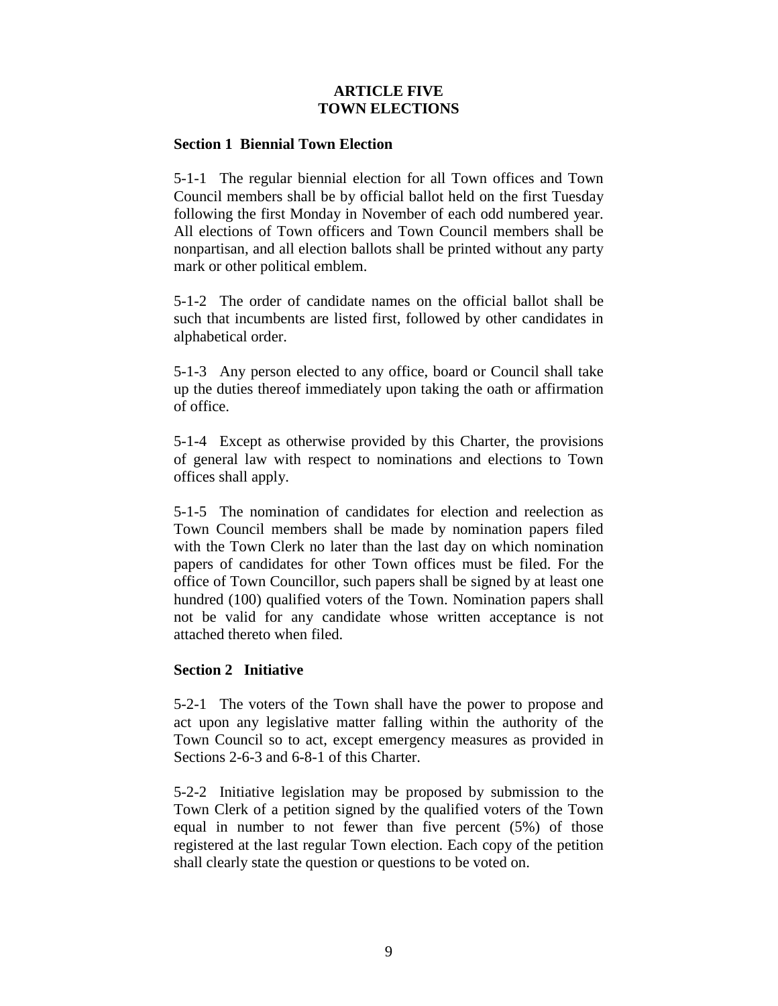# **ARTICLE FIVE TOWN ELECTIONS**

### **Section 1 Biennial Town Election**

5-1-1 The regular biennial election for all Town offices and Town Council members shall be by official ballot held on the first Tuesday following the first Monday in November of each odd numbered year. All elections of Town officers and Town Council members shall be nonpartisan, and all election ballots shall be printed without any party mark or other political emblem.

5-1-2 The order of candidate names on the official ballot shall be such that incumbents are listed first, followed by other candidates in alphabetical order.

5-1-3 Any person elected to any office, board or Council shall take up the duties thereof immediately upon taking the oath or affirmation of office.

5-1-4 Except as otherwise provided by this Charter, the provisions of general law with respect to nominations and elections to Town offices shall apply.

5-1-5 The nomination of candidates for election and reelection as Town Council members shall be made by nomination papers filed with the Town Clerk no later than the last day on which nomination papers of candidates for other Town offices must be filed. For the office of Town Councillor, such papers shall be signed by at least one hundred (100) qualified voters of the Town. Nomination papers shall not be valid for any candidate whose written acceptance is not attached thereto when filed.

### **Section 2 Initiative**

5-2-1 The voters of the Town shall have the power to propose and act upon any legislative matter falling within the authority of the Town Council so to act, except emergency measures as provided in Sections 2-6-3 and 6-8-1 of this Charter.

5-2-2 Initiative legislation may be proposed by submission to the Town Clerk of a petition signed by the qualified voters of the Town equal in number to not fewer than five percent (5%) of those registered at the last regular Town election. Each copy of the petition shall clearly state the question or questions to be voted on.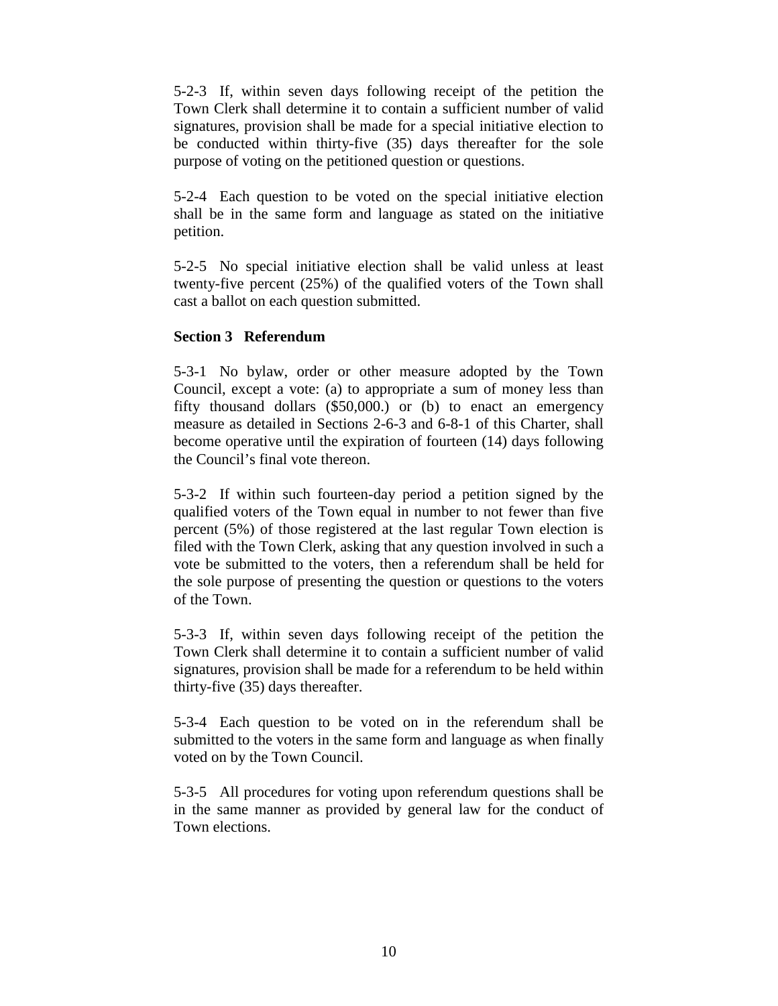5-2-3 If, within seven days following receipt of the petition the Town Clerk shall determine it to contain a sufficient number of valid signatures, provision shall be made for a special initiative election to be conducted within thirty-five (35) days thereafter for the sole purpose of voting on the petitioned question or questions.

5-2-4 Each question to be voted on the special initiative election shall be in the same form and language as stated on the initiative petition.

5-2-5 No special initiative election shall be valid unless at least twenty-five percent (25%) of the qualified voters of the Town shall cast a ballot on each question submitted.

### **Section 3 Referendum**

5-3-1 No bylaw, order or other measure adopted by the Town Council, except a vote: (a) to appropriate a sum of money less than fifty thousand dollars (\$50,000.) or (b) to enact an emergency measure as detailed in Sections 2-6-3 and 6-8-1 of this Charter, shall become operative until the expiration of fourteen (14) days following the Council's final vote thereon.

5-3-2 If within such fourteen-day period a petition signed by the qualified voters of the Town equal in number to not fewer than five percent (5%) of those registered at the last regular Town election is filed with the Town Clerk, asking that any question involved in such a vote be submitted to the voters, then a referendum shall be held for the sole purpose of presenting the question or questions to the voters of the Town.

5-3-3 If, within seven days following receipt of the petition the Town Clerk shall determine it to contain a sufficient number of valid signatures, provision shall be made for a referendum to be held within thirty-five (35) days thereafter.

5-3-4 Each question to be voted on in the referendum shall be submitted to the voters in the same form and language as when finally voted on by the Town Council.

5-3-5 All procedures for voting upon referendum questions shall be in the same manner as provided by general law for the conduct of Town elections.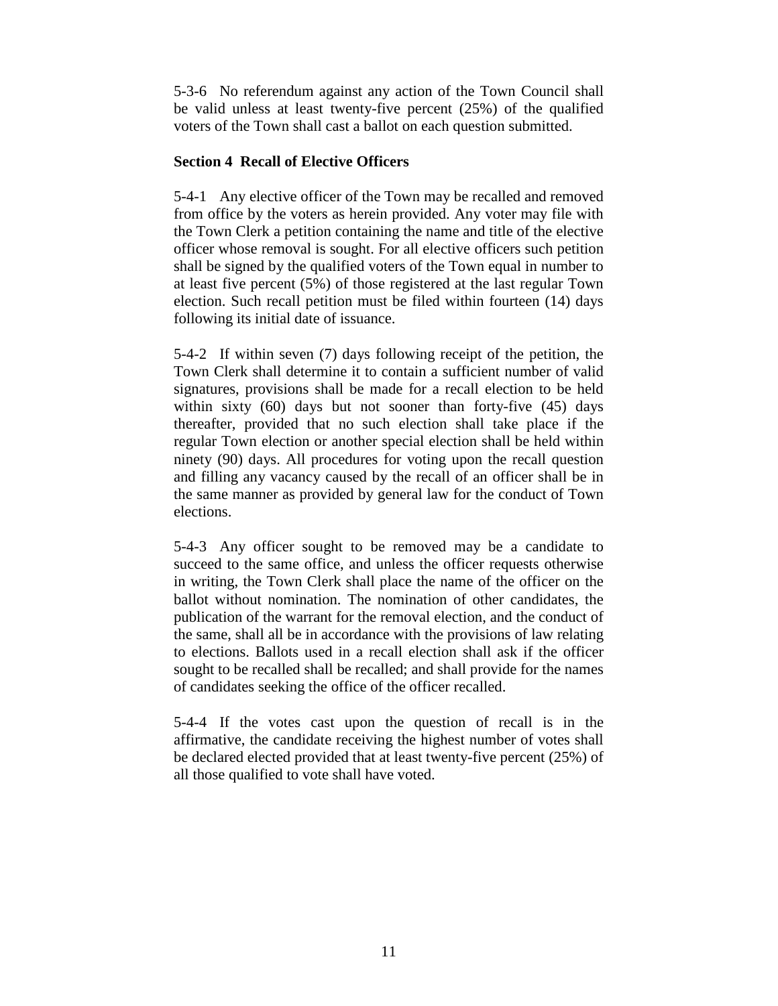5-3-6 No referendum against any action of the Town Council shall be valid unless at least twenty-five percent (25%) of the qualified voters of the Town shall cast a ballot on each question submitted.

# **Section 4 Recall of Elective Officers**

5-4-1 Any elective officer of the Town may be recalled and removed from office by the voters as herein provided. Any voter may file with the Town Clerk a petition containing the name and title of the elective officer whose removal is sought. For all elective officers such petition shall be signed by the qualified voters of the Town equal in number to at least five percent (5%) of those registered at the last regular Town election. Such recall petition must be filed within fourteen (14) days following its initial date of issuance.

5-4-2 If within seven (7) days following receipt of the petition, the Town Clerk shall determine it to contain a sufficient number of valid signatures, provisions shall be made for a recall election to be held within sixty (60) days but not sooner than forty-five (45) days thereafter, provided that no such election shall take place if the regular Town election or another special election shall be held within ninety (90) days. All procedures for voting upon the recall question and filling any vacancy caused by the recall of an officer shall be in the same manner as provided by general law for the conduct of Town elections.

5-4-3 Any officer sought to be removed may be a candidate to succeed to the same office, and unless the officer requests otherwise in writing, the Town Clerk shall place the name of the officer on the ballot without nomination. The nomination of other candidates, the publication of the warrant for the removal election, and the conduct of the same, shall all be in accordance with the provisions of law relating to elections. Ballots used in a recall election shall ask if the officer sought to be recalled shall be recalled; and shall provide for the names of candidates seeking the office of the officer recalled.

5-4-4 If the votes cast upon the question of recall is in the affirmative, the candidate receiving the highest number of votes shall be declared elected provided that at least twenty-five percent (25%) of all those qualified to vote shall have voted.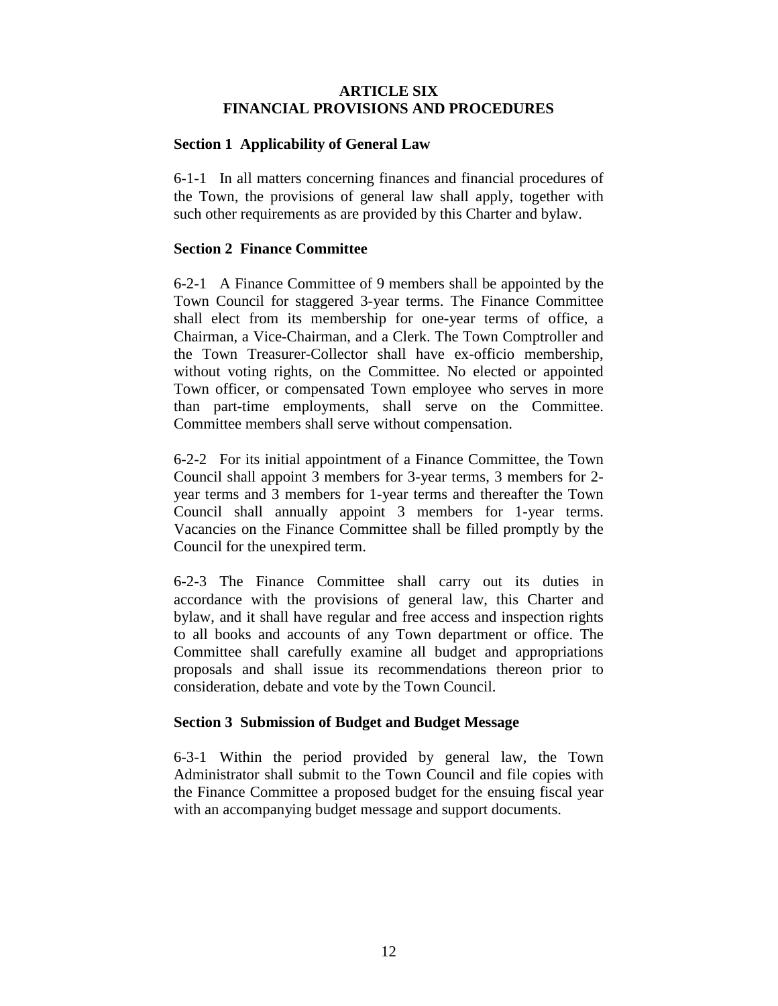# **ARTICLE SIX FINANCIAL PROVISIONS AND PROCEDURES**

## **Section 1 Applicability of General Law**

6-1-1 In all matters concerning finances and financial procedures of the Town, the provisions of general law shall apply, together with such other requirements as are provided by this Charter and bylaw.

## **Section 2 Finance Committee**

6-2-1 A Finance Committee of 9 members shall be appointed by the Town Council for staggered 3-year terms. The Finance Committee shall elect from its membership for one-year terms of office, a Chairman, a Vice-Chairman, and a Clerk. The Town Comptroller and the Town Treasurer-Collector shall have ex-officio membership, without voting rights, on the Committee. No elected or appointed Town officer, or compensated Town employee who serves in more than part-time employments, shall serve on the Committee. Committee members shall serve without compensation.

6-2-2 For its initial appointment of a Finance Committee, the Town Council shall appoint 3 members for 3-year terms, 3 members for 2 year terms and 3 members for 1-year terms and thereafter the Town Council shall annually appoint 3 members for 1-year terms. Vacancies on the Finance Committee shall be filled promptly by the Council for the unexpired term.

6-2-3 The Finance Committee shall carry out its duties in accordance with the provisions of general law, this Charter and bylaw, and it shall have regular and free access and inspection rights to all books and accounts of any Town department or office. The Committee shall carefully examine all budget and appropriations proposals and shall issue its recommendations thereon prior to consideration, debate and vote by the Town Council.

### **Section 3 Submission of Budget and Budget Message**

6-3-1 Within the period provided by general law, the Town Administrator shall submit to the Town Council and file copies with the Finance Committee a proposed budget for the ensuing fiscal year with an accompanying budget message and support documents.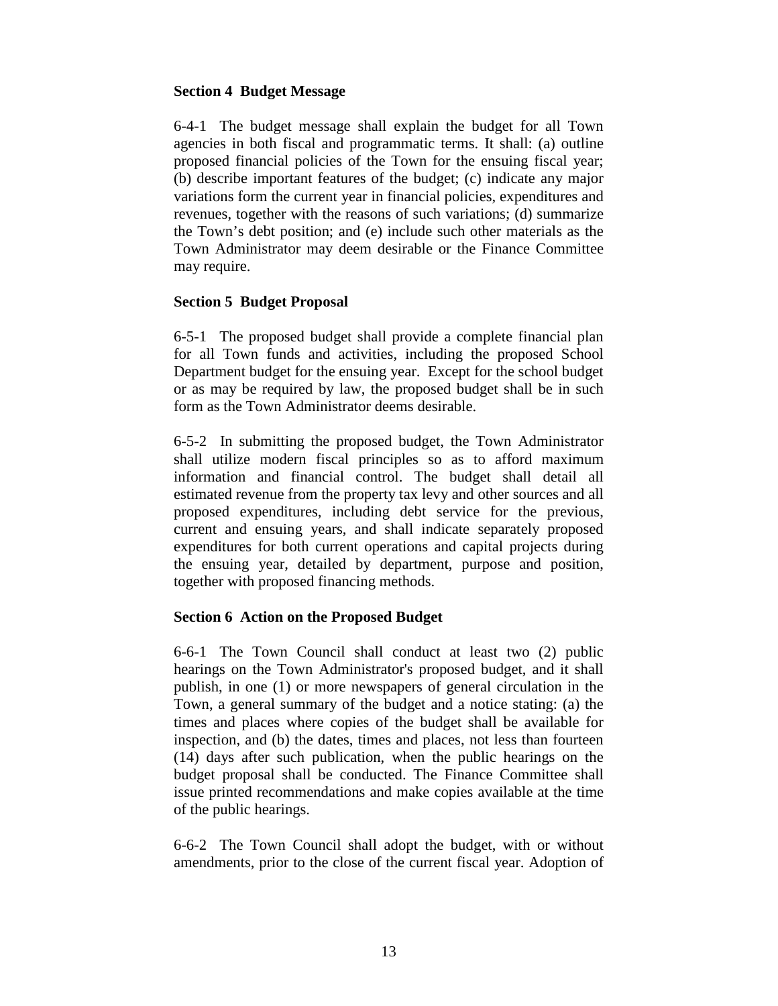## **Section 4 Budget Message**

6-4-1 The budget message shall explain the budget for all Town agencies in both fiscal and programmatic terms. It shall: (a) outline proposed financial policies of the Town for the ensuing fiscal year; (b) describe important features of the budget; (c) indicate any major variations form the current year in financial policies, expenditures and revenues, together with the reasons of such variations; (d) summarize the Town's debt position; and (e) include such other materials as the Town Administrator may deem desirable or the Finance Committee may require.

# **Section 5 Budget Proposal**

6-5-1 The proposed budget shall provide a complete financial plan for all Town funds and activities, including the proposed School Department budget for the ensuing year. Except for the school budget or as may be required by law, the proposed budget shall be in such form as the Town Administrator deems desirable.

6-5-2 In submitting the proposed budget, the Town Administrator shall utilize modern fiscal principles so as to afford maximum information and financial control. The budget shall detail all estimated revenue from the property tax levy and other sources and all proposed expenditures, including debt service for the previous, current and ensuing years, and shall indicate separately proposed expenditures for both current operations and capital projects during the ensuing year, detailed by department, purpose and position, together with proposed financing methods.

# **Section 6 Action on the Proposed Budget**

6-6-1 The Town Council shall conduct at least two (2) public hearings on the Town Administrator's proposed budget, and it shall publish, in one (1) or more newspapers of general circulation in the Town, a general summary of the budget and a notice stating: (a) the times and places where copies of the budget shall be available for inspection, and (b) the dates, times and places, not less than fourteen (14) days after such publication, when the public hearings on the budget proposal shall be conducted. The Finance Committee shall issue printed recommendations and make copies available at the time of the public hearings.

6-6-2 The Town Council shall adopt the budget, with or without amendments, prior to the close of the current fiscal year. Adoption of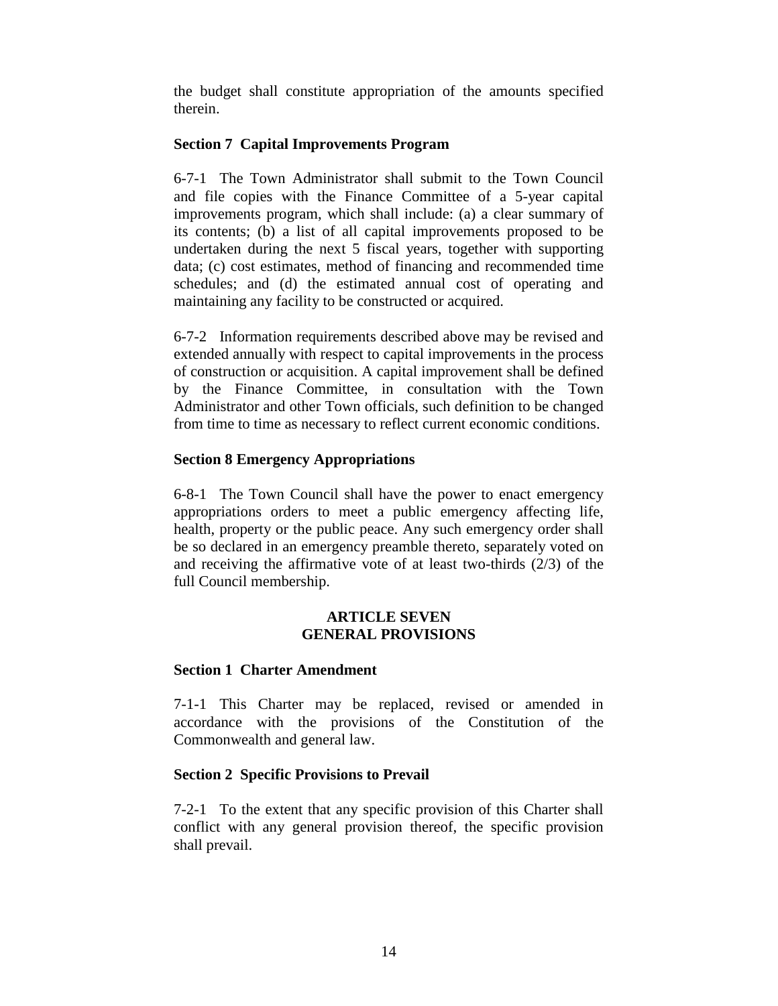the budget shall constitute appropriation of the amounts specified therein.

# **Section 7 Capital Improvements Program**

6-7-1 The Town Administrator shall submit to the Town Council and file copies with the Finance Committee of a 5-year capital improvements program, which shall include: (a) a clear summary of its contents; (b) a list of all capital improvements proposed to be undertaken during the next 5 fiscal years, together with supporting data; (c) cost estimates, method of financing and recommended time schedules; and (d) the estimated annual cost of operating and maintaining any facility to be constructed or acquired.

6-7-2 Information requirements described above may be revised and extended annually with respect to capital improvements in the process of construction or acquisition. A capital improvement shall be defined by the Finance Committee, in consultation with the Town Administrator and other Town officials, such definition to be changed from time to time as necessary to reflect current economic conditions.

# **Section 8 Emergency Appropriations**

6-8-1 The Town Council shall have the power to enact emergency appropriations orders to meet a public emergency affecting life, health, property or the public peace. Any such emergency order shall be so declared in an emergency preamble thereto, separately voted on and receiving the affirmative vote of at least two-thirds (2/3) of the full Council membership.

### **ARTICLE SEVEN GENERAL PROVISIONS**

### **Section 1 Charter Amendment**

7-1-1 This Charter may be replaced, revised or amended in accordance with the provisions of the Constitution of the Commonwealth and general law.

### **Section 2 Specific Provisions to Prevail**

7-2-1 To the extent that any specific provision of this Charter shall conflict with any general provision thereof, the specific provision shall prevail.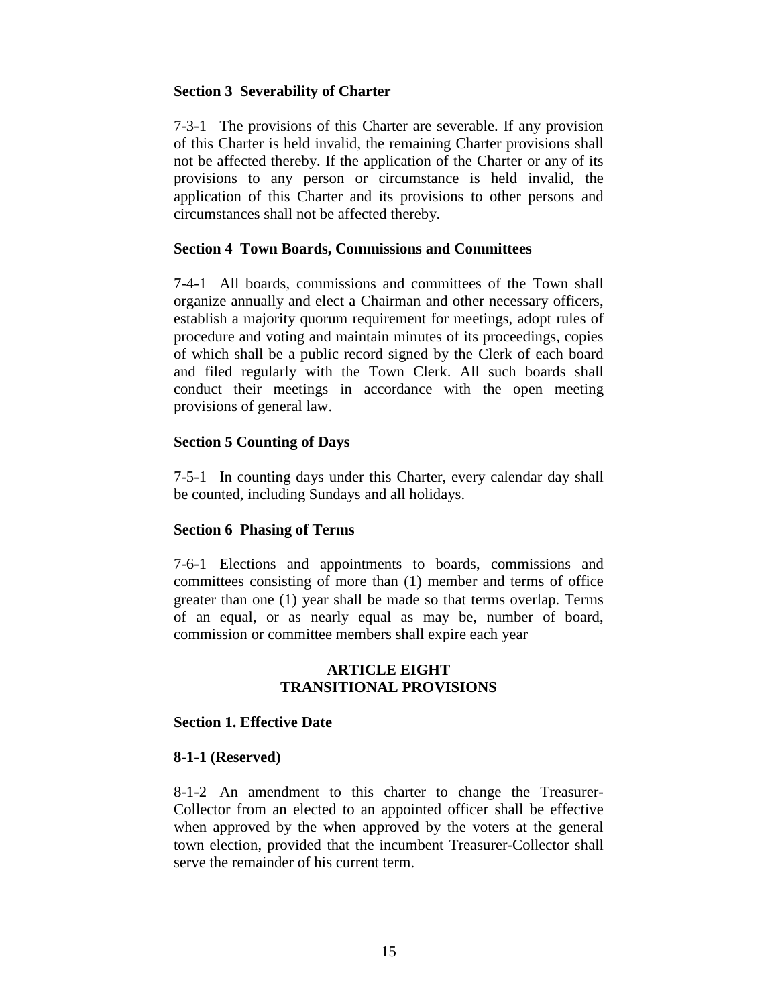### **Section 3 Severability of Charter**

7-3-1 The provisions of this Charter are severable. If any provision of this Charter is held invalid, the remaining Charter provisions shall not be affected thereby. If the application of the Charter or any of its provisions to any person or circumstance is held invalid, the application of this Charter and its provisions to other persons and circumstances shall not be affected thereby.

#### **Section 4 Town Boards, Commissions and Committees**

7-4-1 All boards, commissions and committees of the Town shall organize annually and elect a Chairman and other necessary officers, establish a majority quorum requirement for meetings, adopt rules of procedure and voting and maintain minutes of its proceedings, copies of which shall be a public record signed by the Clerk of each board and filed regularly with the Town Clerk. All such boards shall conduct their meetings in accordance with the open meeting provisions of general law.

#### **Section 5 Counting of Days**

7-5-1 In counting days under this Charter, every calendar day shall be counted, including Sundays and all holidays.

### **Section 6 Phasing of Terms**

7-6-1 Elections and appointments to boards, commissions and committees consisting of more than (1) member and terms of office greater than one (1) year shall be made so that terms overlap. Terms of an equal, or as nearly equal as may be, number of board, commission or committee members shall expire each year

#### **ARTICLE EIGHT TRANSITIONAL PROVISIONS**

#### **Section 1. Effective Date**

#### **8-1-1 (Reserved)**

8-1-2 An amendment to this charter to change the Treasurer-Collector from an elected to an appointed officer shall be effective when approved by the when approved by the voters at the general town election, provided that the incumbent Treasurer-Collector shall serve the remainder of his current term.